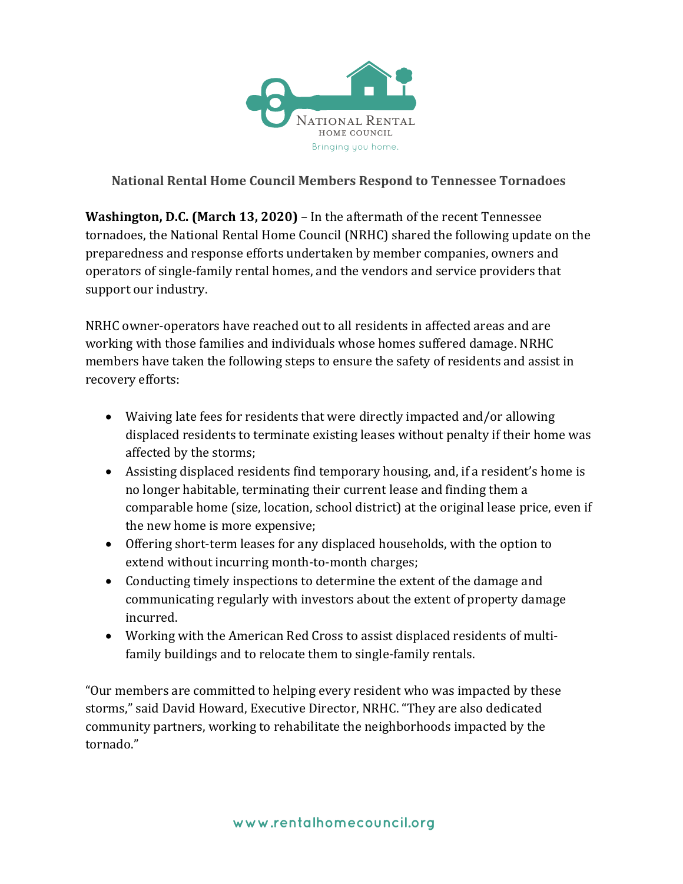

## **National Rental Home Council Members Respond to Tennessee Tornadoes**

**Washington, D.C. (March 13, 2020)** – In the aftermath of the recent Tennessee tornadoes, the National Rental Home Council (NRHC) shared the following update on the preparedness and response efforts undertaken by member companies, owners and operators of single-family rental homes, and the vendors and service providers that support our industry.

NRHC owner-operators have reached out to all residents in affected areas and are working with those families and individuals whose homes suffered damage. NRHC members have taken the following steps to ensure the safety of residents and assist in recovery efforts:

- Waiving late fees for residents that were directly impacted and/or allowing displaced residents to terminate existing leases without penalty if their home was affected by the storms;
- Assisting displaced residents find temporary housing, and, if a resident's home is no longer habitable, terminating their current lease and finding them a comparable home (size, location, school district) at the original lease price, even if the new home is more expensive;
- Offering short-term leases for any displaced households, with the option to extend without incurring month-to-month charges;
- Conducting timely inspections to determine the extent of the damage and communicating regularly with investors about the extent of property damage incurred.
- Working with the American Red Cross to assist displaced residents of multifamily buildings and to relocate them to single-family rentals.

"Our members are committed to helping every resident who was impacted by these storms," said David Howard, Executive Director, NRHC. "They are also dedicated community partners, working to rehabilitate the neighborhoods impacted by the tornado."